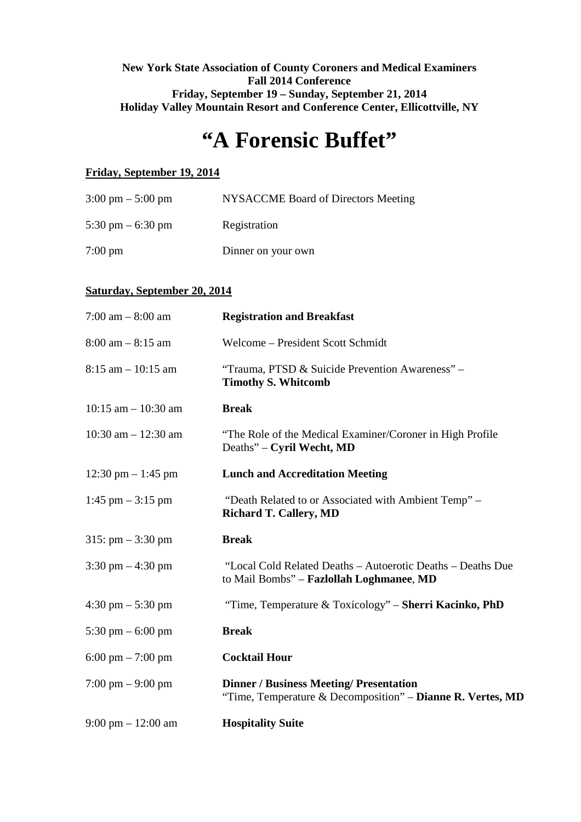# **New York State Association of County Coroners and Medical Examiners Fall 2014 Conference Friday, September 19 – Sunday, September 21, 2014 Holiday Valley Mountain Resort and Conference Center, Ellicottville, NY**

# **"A Forensic Buffet"**

# **Friday, September 19, 2014**

| $3:00 \text{ pm} - 5:00 \text{ pm}$ | NYSACCME Board of Directors Meeting |
|-------------------------------------|-------------------------------------|
| 5:30 pm $-$ 6:30 pm                 | Registration                        |
| $7:00 \text{ pm}$                   | Dinner on your own                  |

# **Saturday, September 20, 2014**

| 7:00 am $-8:00$ am                   | <b>Registration and Breakfast</b>                                                                            |
|--------------------------------------|--------------------------------------------------------------------------------------------------------------|
| $8:00$ am $-8:15$ am                 | Welcome - President Scott Schmidt                                                                            |
| $8:15$ am $-10:15$ am                | "Trauma, PTSD & Suicide Prevention Awareness" -<br><b>Timothy S. Whitcomb</b>                                |
| $10:15$ am $- 10:30$ am              | <b>Break</b>                                                                                                 |
| 10:30 am $- 12:30$ am                | "The Role of the Medical Examiner/Coroner in High Profile"<br>Deaths" – Cyril Wecht, MD                      |
| $12:30 \text{ pm} - 1:45 \text{ pm}$ | <b>Lunch and Accreditation Meeting</b>                                                                       |
| $1:45$ pm $-3:15$ pm                 | "Death Related to or Associated with Ambient Temp" –<br><b>Richard T. Callery, MD</b>                        |
| $315: pm - 3:30 pm$                  | <b>Break</b>                                                                                                 |
| $3:30 \text{ pm} - 4:30 \text{ pm}$  | "Local Cold Related Deaths - Autoerotic Deaths - Deaths Due<br>to Mail Bombs" - Fazlollah Loghmanee, MD      |
| $4:30 \text{ pm} - 5:30 \text{ pm}$  | "Time, Temperature & Toxicology" - Sherri Kacinko, PhD                                                       |
| 5:30 pm $-$ 6:00 pm                  | <b>Break</b>                                                                                                 |
| $6:00 \text{ pm} - 7:00 \text{ pm}$  | <b>Cocktail Hour</b>                                                                                         |
| $7:00 \text{ pm} - 9:00 \text{ pm}$  | <b>Dinner / Business Meeting/ Presentation</b><br>"Time, Temperature & Decomposition" - Dianne R. Vertes, MD |
| $9:00 \text{ pm} - 12:00 \text{ am}$ | <b>Hospitality Suite</b>                                                                                     |